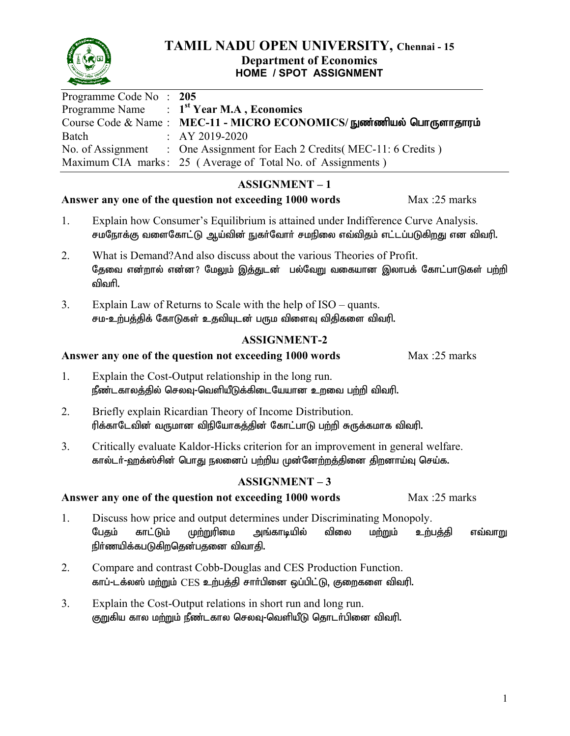| Programme Code No: 205 |                                                                           |
|------------------------|---------------------------------------------------------------------------|
|                        | Programme Name $\qquad$ : 1 <sup>st</sup> Year M.A, Economics             |
|                        | Course Code & Name: MEC-11 - MICRO ECONOMICS/ நுண்ணியல் பொருளாதாரம்       |
| Batch                  | $\therefore$ AY 2019-2020                                                 |
|                        | No. of Assignment : One Assignment for Each 2 Credits (MEC-11: 6 Credits) |
|                        | Maximum CIA marks: 25 (Average of Total No. of Assignments)               |

# **ASSIGNMENT – 1**

### Answer any one of the question not exceeding 1000 words Max :25 marks

- 1. Explain how Consumer's Equilibrium is attained under Indifference Curve Analysis. சமநோக்கு வளைகோட்டு ஆய்வின் நுகர்வோர் சமநிலை எவ்விதம் எட்டப்படுகிறது என விவரி.
- 2. What is Demand?And also discuss about the various Theories of Profit. தேவை என்றால் என்ன? மேலும் இத்துடன் பல்வேறு வகையான இலாபக் கோட்பாடுகள் பற்றி விவரி.
- 3. Explain Law of Returns to Scale with the help of ISO quants. சம-உற்பத்திக் கோடுகள் உதவியுடன் பரும விளைவு விதிகளை விவரி.

### **ASSIGNMENT-2**

#### Answer any one of the question not exceeding 1000 words Max :25 marks

- 1. Explain the Cost-Output relationship in the long run.  $r$ நீண்டகாலத்தில் செலவு-வெளியீடுக்கிடையேயான உறவை பற்றி விவரி.
- 2. Briefly explain Ricardian Theory of Income Distribution. ரிக்காடேவின் வருமான விநியோகத்தின் கோட்பாடு பற்றி சுருக்கமாக விவரி.
- 3. Critically evaluate Kaldor-Hicks criterion for an improvement in general welfare. கால்டர்-ஹக்ஸ்சின் பொது நலனைப் பற்றிய முன்னேற்றத்தினை திறனாய்வு செய்க.

### **ASSIGNMENT – 3**

- 1. Discuss how price and output determines under Discriminating Monopoly. பேதம் காட்டும் முற்றுரிமை அங்காடியில் விலை மற்றும் உற்பத்தி எவ்வாறு நிர்ணயிக்கபடுகிறதென்பதனை விவாதி.
- 2. Compare and contrast Cobb-Douglas and CES Production Function. காப்-டக்லஸ் மற்றும் CES உற்பத்தி சார்பினை ஒப்பிட்டு, குறைகளை விவரி.
- 3. Explain the Cost-Output relations in short run and long run. குறுகிய கால மற்றும் நீண்டகால செலவு-வெளியீடு தொடர்பினை விவரி.



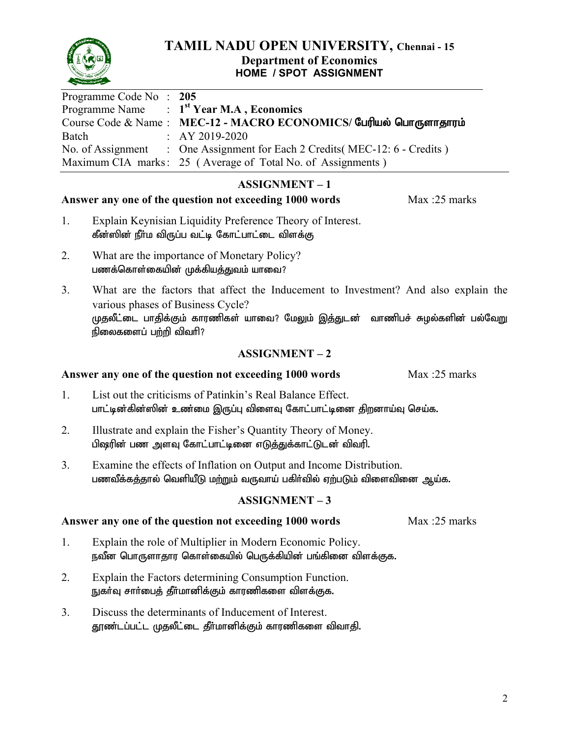

| Programme Code No: 205 |                                                                              |
|------------------------|------------------------------------------------------------------------------|
|                        | Programme Name $\qquad$ : 1 <sup>st</sup> Year M.A, Economics                |
|                        | Course Code & Name: MEC-12 - MACRO ECONOMICS/ யேரியல் பொருளாதாரம்            |
| Batch                  | $\therefore$ AY 2019-2020                                                    |
|                        | No. of Assignment : One Assignment for Each 2 Credits (MEC-12: 6 - Credits ) |
|                        | Maximum CIA marks: 25 (Average of Total No. of Assignments)                  |

## **ASSIGNMENT – 1**

### Answer any one of the question not exceeding 1000 words Max :25 marks

- 1. Explain Keynisian Liquidity Preference Theory of Interest. கீன்ஸின் நீர்ம விருப்ப வட்டி கோட்பாட்டை விளக்கு
- 2. What are the importance of Monetary Policy? பணக்கொள்கையின் முக்கியத்துவம் யாவை?
- 3. What are the factors that affect the Inducement to Investment? And also explain the various phases of Business Cycle? முதலீட்டை பாதிக்கும் காரணிகள் யாவை? மேலும் இத்துடன் வாணிபச் சுமல்களின் பல்வேறு  $f$ நிலைகளைப் பற்றி விவரி?

### **ASSIGNMENT – 2**

#### Answer any one of the question not exceeding 1000 words Max :25 marks

1. List out the criticisms of Patinkin's Real Balance Effect. பாட்டின்கின்ஸின் உண்மை இருப்பு விளைவு கோட்பாட்டினை திறனாய்வு செய்க.

- 2. Illustrate and explain the Fisher's Quantity Theory of Money. பிஷரின் பண அளவு கோட்பாட்டினை எடுத்துக்காட்டுடன் விவரி.
- 3. Examine the effects of Inflation on Output and Income Distribution. பணவீக்கத்தால் வெளியீடு மற்றும் வருவாய் பகிர்வில் ஏற்படும் விளைவினை ஆய்க.

### **ASSIGNMENT – 3**

### Answer any one of the question not exceeding 1000 words Max :25 marks

- 1. Explain the role of Multiplier in Modern Economic Policy. நவீன பொருளாதார கொள்கையில் பெருக்கியின் பங்கினை விளக்குக.
- 2. Explain the Factors determining Consumption Function. நுகர்வு சார்பைத் தீர்மானிக்கும் காரணிகளை விளக்குக.
- 3. Discuss the determinants of Inducement of Interest. தூண்டப்பட்ட முதலீட்டை தீர்மானிக்கும் காரணிகளை விவாதி.

2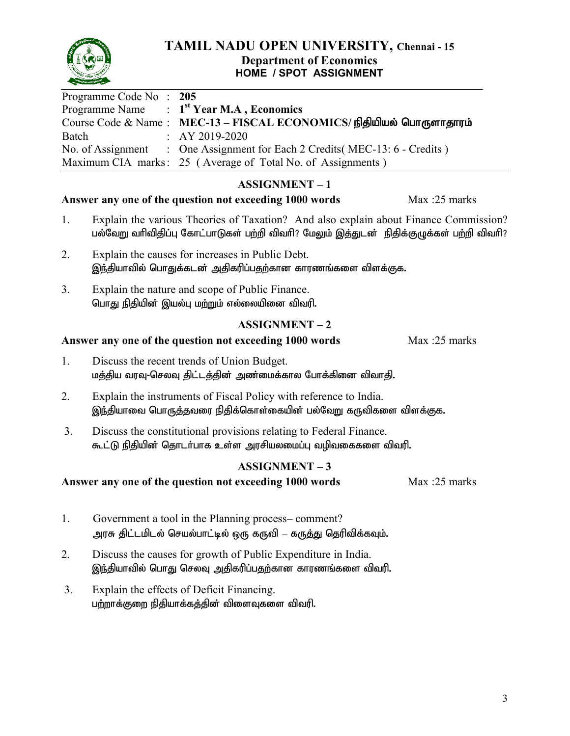

| Programme Code No: 205 |                                                                              |
|------------------------|------------------------------------------------------------------------------|
|                        | Programme Name $\qquad$ : 1 <sup>st</sup> Year M.A, Economics                |
|                        | Course Code & Name: MEC-13 – FISCAL ECONOMICS/நிதியியல் பொருளாதாரம்          |
| Batch                  | $\therefore$ AY 2019-2020                                                    |
|                        | No. of Assignment : One Assignment for Each 2 Credits (MEC-13: 6 - Credits ) |
|                        | Maximum CIA marks: 25 (Average of Total No. of Assignments)                  |

# **ASSIGNMENT – 1**

### Answer any one of the question not exceeding 1000 words Max :25 marks

- 1. Explain the various Theories of Taxation? And also explain about Finance Commission? பல்வேறு வரிவிதிப்பு கோட்பாடுகள் பற்றி விவரி? மேலும் இத்துடன் நிதிக்குழுக்கள் பற்றி விவரி?
- 2. Explain the causes for increases in Public Debt. இந்தியாவில் பொதுக்கடன் அதிகரிப்பதற்கான காரணங்களை விளக்குக.
- 3. Explain the nature and scope of Public Finance. பொது நிதியின் இயல்பு மற்றும் எல்லையினை விவரி.

### **ASSIGNMENT – 2**

#### Answer any one of the question not exceeding 1000 words Max :25 marks

- 1. Discuss the recent trends of Union Budget. மத்திய வரவு-செலவு திட்டத்தின் அண்மைக்கால போக்கினை விவாதி.
- 2. Explain the instruments of Fiscal Policy with reference to India. இந்தியாவை பொருத்தவரை நிதிக்கொள்கையின் பல்வேறு கருவிகளை விளக்குக.
- 3. Discuss the constitutional provisions relating to Federal Finance. கூட்டு நிதியின் தொடர்பாக உள்ள அரசியலமைப்பு வழிவகைகளை விவரி.

### **ASSIGNMENT – 3**

- 1. Government a tool in the Planning process– comment? அரசு திட்டமிடல் செயல்பாட்டில் ஒரு கருவி – கரு<u>க்</u>து தெரிவிக்கவும்.
- 2. Discuss the causes for growth of Public Expenditure in India. இந்தியாவில் பொது செலவு அதிகரிப்பதற்கான காரணங்களை விவரி.
- 3. Explain the effects of Deficit Financing. பற்றாக்குறை நிதியாக்கத்தின் விளைவுகளை விவரி.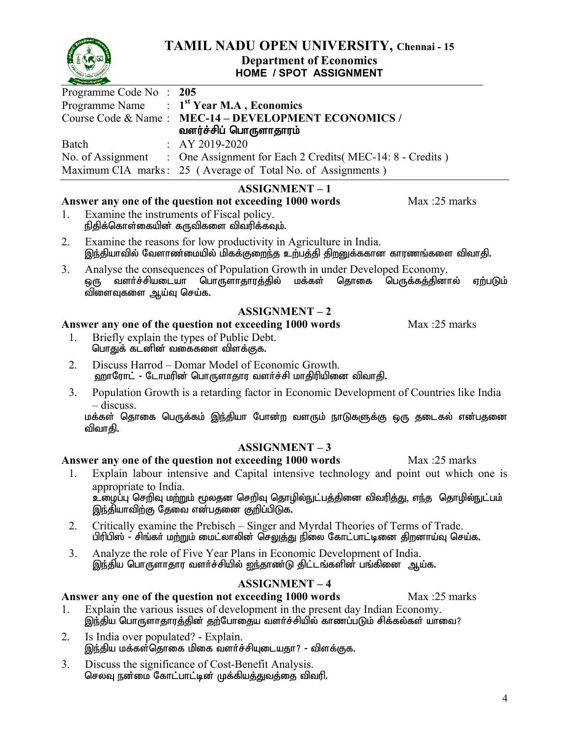| Programme Code No: 205 |                                                                              |
|------------------------|------------------------------------------------------------------------------|
|                        | Programme Name $\therefore$ 1 <sup>st</sup> Year M.A, Economics              |
|                        | Course Code & Name: MEC-14 - DEVELOPMENT ECONOMICS /                         |
|                        | வளர்ச்சிப் பொருளாதாரம்                                                       |
| Batch                  | $\therefore$ AY 2019-2020                                                    |
|                        | No. of Assignment : One Assignment for Each 2 Credits (MEC-14: 8 - Credits ) |
|                        | Maximum CIA marks: 25 (Average of Total No. of Assignments)                  |
|                        |                                                                              |

# **ASSIGNMENT – 1**

# Answer any one of the question not exceeding 1000 words Max :25 marks

- 1. Examine the instruments of Fiscal policy. நிதிக்கொள்கையின் கருவிகளை விவரிக்கவும்.
- 2. Examine the reasons for low productivity in Agriculture in India. இந்தியாவில் வேளாண்மையில் மிகக்குறைந்த உற்பத்தி திறனுக்ககான காரணங்களை விவாதி.
- 3. Analyse the consequences of Population Growth in under Developed Economy. ஒரு வளர்ச்சியடையா பொருளாதாரத்தில் மக்கள் தொகை பெருக்கத்தினால் ஏற்படும் .<br>விளைவுகளை ஆய்வு செய்க.

### **ASSIGNMENT – 2**

### Answer any one of the question not exceeding 1000 words Max :25 marks

- 1. Briefly explain the types of Public Debt. பொதுக் கட்னின் வகைகளை விளக்குக.
- 2. Discuss Harrod Domar Model of Economic Growth. <u>்</u> வாரோட் - டோமரின் பொருளாகார வளர்ச்சி மாகிரியினை விவாகி.
- 3. Population Growth is a retarding factor in Economic Development of Countries like India – discuss.

மக்கள் தொகை பெருக்கம் இந்தியா போன்ற வளரும் நாடுகளுக்கு ஒரு தடைகல் என்பதனை விவாகி.

### **ASSIGNMENT – 3**

### Answer any one of the question not exceeding 1000 words Max :25 marks

- 1. Explain labour intensive and Capital intensive technology and point out which one is appropriate to India. உன்ழப்பு செறிவு மற்றும் மூலதன செறிவு தொழில்நுட்பத்தினை விவரித்து, எந்த தொழில்நுட்பம் இந்தியாவிற்கு தேவை என்பதனை குறிப்பிடுக.
- 2. Critically examine the Prebisch Singer and Myrdal Theories of Terms of Trade. பிரிபிஸ் - சிங்கர் மற்றும் மைட்லாலின் செலுத்து நிலை கோட்பாட்டினை திறனாய்வு செய்க.
- 3. Analyze the role of Five Year Plans in Economic Development of India. இந்திய பொருளாதார வளர்ச்சியில் ஐந்தாண்டு திட்டங்களின் பங்கினை ஆய்க.

# **ASSIGNMENT – 4**

- 1. Explain the various issues of development in the present day Indian Economy. இந்திய பொருளாதாரத்தின் தற்போதைய வளர்ச்சியில் காணப்படும் சிக்கல்கள் யாவை?
- 2. Is India over populated? Explain. இந்திய மக்கள்தொகை மிகை வளர்ச்சியுடையதா? - விளக்குக.
- 3. Discuss the significance of Cost-Benefit Analysis. செலவு நன்மை கோட்பாட்டின் முக்கியத்துவத்தை விவரி.